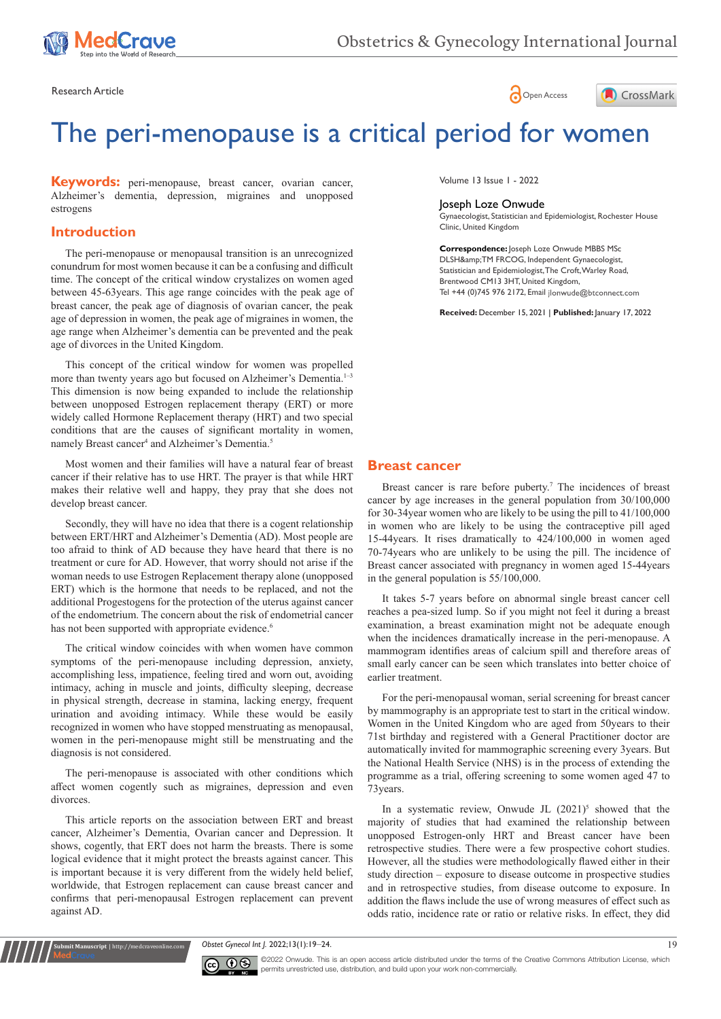





# The peri-menopause is a critical period for women

**Keywords:** peri-menopause, breast cancer, ovarian cancer, Alzheimer's dementia, depression, migraines and unopposed estrogens

# **Introduction**

The peri-menopause or menopausal transition is an unrecognized conundrum for most women because it can be a confusing and difficult time. The concept of the critical window crystalizes on women aged between 45-63years. This age range coincides with the peak age of breast cancer, the peak age of diagnosis of ovarian cancer, the peak age of depression in women, the peak age of migraines in women, the age range when Alzheimer's dementia can be prevented and the peak age of divorces in the United Kingdom.

This concept of the critical window for women was propelled more than twenty years ago but focused on Alzheimer's Dementia.<sup>1-3</sup> This dimension is now being expanded to include the relationship between unopposed Estrogen replacement therapy (ERT) or more widely called Hormone Replacement therapy (HRT) and two special conditions that are the causes of significant mortality in women, namely Breast cancer<sup>4</sup> and Alzheimer's Dementia.<sup>5</sup>

Most women and their families will have a natural fear of breast cancer if their relative has to use HRT. The prayer is that while HRT makes their relative well and happy, they pray that she does not develop breast cancer.

Secondly, they will have no idea that there is a cogent relationship between ERT/HRT and Alzheimer's Dementia (AD). Most people are too afraid to think of AD because they have heard that there is no treatment or cure for AD. However, that worry should not arise if the woman needs to use Estrogen Replacement therapy alone (unopposed ERT) which is the hormone that needs to be replaced, and not the additional Progestogens for the protection of the uterus against cancer of the endometrium. The concern about the risk of endometrial cancer has not been supported with appropriate evidence.<sup>6</sup>

The critical window coincides with when women have common symptoms of the peri-menopause including depression, anxiety, accomplishing less, impatience, feeling tired and worn out, avoiding intimacy, aching in muscle and joints, difficulty sleeping, decrease in physical strength, decrease in stamina, lacking energy, frequent urination and avoiding intimacy. While these would be easily recognized in women who have stopped menstruating as menopausal, women in the peri-menopause might still be menstruating and the diagnosis is not considered.

The peri-menopause is associated with other conditions which affect women cogently such as migraines, depression and even divorces.

This article reports on the association between ERT and breast cancer, Alzheimer's Dementia, Ovarian cancer and Depression. It shows, cogently, that ERT does not harm the breasts. There is some logical evidence that it might protect the breasts against cancer. This is important because it is very different from the widely held belief, worldwide, that Estrogen replacement can cause breast cancer and confirms that peri-menopausal Estrogen replacement can prevent against AD.

**it Manuscript** | http://medcraveonline.c

Volume 13 Issue 1 - 2022

## Joseph Loze Onwude

Gynaecologist, Statistician and Epidemiologist, Rochester House Clinic, United Kingdom

**Correspondence:** Joseph Loze Onwude MBBS MSc DLSH&TM FRCOG, Independent Gynaecologist, Statistician and Epidemiologist, The Croft, Warley Road,

Brentwood CM13 3HT, United Kingdom, Tel +44 (0)745 976 2172, Email jlonwude@btconnect.com

**Received:** December 15, 2021 | **Published:** January 17, 2022

#### **Breast cancer**

Breast cancer is rare before puberty.<sup>7</sup> The incidences of breast cancer by age increases in the general population from 30/100,000 for 30-34year women who are likely to be using the pill to 41/100,000 in women who are likely to be using the contraceptive pill aged 15-44years. It rises dramatically to 424/100,000 in women aged 70-74years who are unlikely to be using the pill. The incidence of Breast cancer associated with pregnancy in women aged 15-44years in the general population is 55/100,000.

It takes 5-7 years before on abnormal single breast cancer cell reaches a pea-sized lump. So if you might not feel it during a breast examination, a breast examination might not be adequate enough when the incidences dramatically increase in the peri-menopause. A mammogram identifies areas of calcium spill and therefore areas of small early cancer can be seen which translates into better choice of earlier treatment.

For the peri-menopausal woman, serial screening for breast cancer by mammography is an appropriate test to start in the critical window. Women in the United Kingdom who are aged from 50years to their 71st birthday and registered with a General Practitioner doctor are automatically invited for mammographic screening every 3years. But the National Health Service (NHS) is in the process of extending the programme as a trial, offering screening to some women aged 47 to 73years.

In a systematic review, Onwude JL  $(2021)^5$  showed that the majority of studies that had examined the relationship between unopposed Estrogen-only HRT and Breast cancer have been retrospective studies. There were a few prospective cohort studies. However, all the studies were methodologically flawed either in their study direction – exposure to disease outcome in prospective studies and in retrospective studies, from disease outcome to exposure. In addition the flaws include the use of wrong measures of effect such as odds ratio, incidence rate or ratio or relative risks. In effect, they did

*Obstet Gynecol Int J.* 2022;13(1):19‒24. 19



©2022 Onwude. This is an open access article distributed under the terms of the [Creative Commons Attribution License](https://creativecommons.org/licenses/by-nc/4.0/), which permits unrestricted use, distribution, and build upon your work non-commercially.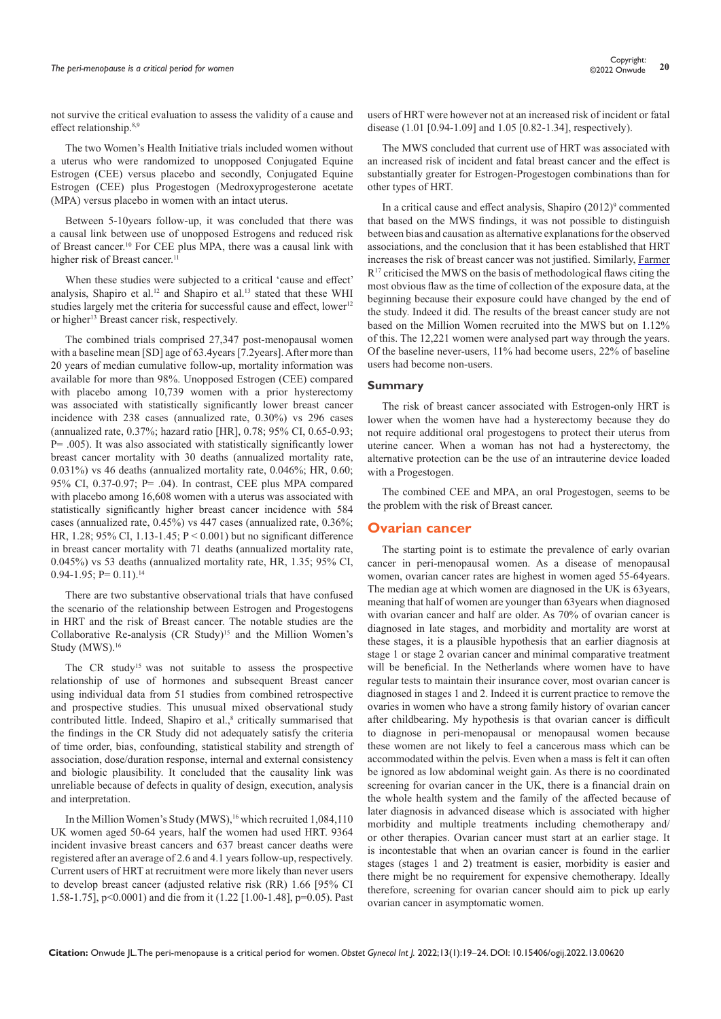not survive the critical evaluation to assess the validity of a cause and effect relationship.<sup>8,9</sup>

The two Women's Health Initiative trials included women without a uterus who were randomized to unopposed Conjugated Equine Estrogen (CEE) versus placebo and secondly, Conjugated Equine Estrogen (CEE) plus Progestogen (Medroxyprogesterone acetate (MPA) versus placebo in women with an intact uterus.

Between 5-10years follow-up, it was concluded that there was a causal link between use of unopposed Estrogens and reduced risk of Breast cancer.10 For CEE plus MPA, there was a causal link with higher risk of Breast cancer.<sup>11</sup>

When these studies were subjected to a critical 'cause and effect' analysis, Shapiro et al.<sup>12</sup> and Shapiro et al.<sup>13</sup> stated that these WHI studies largely met the criteria for successful cause and effect, lower<sup>12</sup> or higher<sup>13</sup> Breast cancer risk, respectively.

The combined trials comprised 27,347 post-menopausal women with a baseline mean [SD] age of 63.4years [7.2years]. After more than 20 years of median cumulative follow-up, mortality information was available for more than 98%. Unopposed Estrogen (CEE) compared with placebo among 10,739 women with a prior hysterectomy was associated with statistically significantly lower breast cancer incidence with 238 cases (annualized rate, 0.30%) vs 296 cases (annualized rate, 0.37%; hazard ratio [HR], 0.78; 95% CI, 0.65-0.93; P= .005). It was also associated with statistically significantly lower breast cancer mortality with 30 deaths (annualized mortality rate, 0.031%) vs 46 deaths (annualized mortality rate, 0.046%; HR, 0.60; 95% CI, 0.37-0.97; P= .04). In contrast, CEE plus MPA compared with placebo among 16,608 women with a uterus was associated with statistically significantly higher breast cancer incidence with 584 cases (annualized rate, 0.45%) vs 447 cases (annualized rate, 0.36%; HR, 1.28; 95% CI, 1.13-1.45; P < 0.001) but no significant difference in breast cancer mortality with 71 deaths (annualized mortality rate, 0.045%) vs 53 deaths (annualized mortality rate, HR, 1.35; 95% CI,  $0.94-1.95$ ; P=  $0.11$ ).<sup>14</sup>

There are two substantive observational trials that have confused the scenario of the relationship between Estrogen and Progestogens in HRT and the risk of Breast cancer. The notable studies are the Collaborative Re-analysis (CR Study)<sup>15</sup> and the Million Women's Study (MWS).<sup>16</sup>

The CR study<sup>15</sup> was not suitable to assess the prospective relationship of use of hormones and subsequent Breast cancer using individual data from 51 studies from combined retrospective and prospective studies. This unusual mixed observational study contributed little. Indeed, Shapiro et al.,<sup>8</sup> critically summarised that the findings in the CR Study did not adequately satisfy the criteria of time order, bias, confounding, statistical stability and strength of association, dose/duration response, internal and external consistency and biologic plausibility. It concluded that the causality link was unreliable because of defects in quality of design, execution, analysis and interpretation.

In the Million Women's Study (MWS),<sup>16</sup> which recruited 1,084,110 UK women aged 50-64 years, half the women had used HRT. 9364 incident invasive breast cancers and 637 breast cancer deaths were registered after an average of 2.6 and 4.1 years follow-up, respectively. Current users of HRT at recruitment were more likely than never users to develop breast cancer (adjusted relative risk (RR) 1.66 [95% CI 1.58-1.75], p<0.0001) and die from it (1.22 [1.00-1.48], p=0.05). Past

users of HRT were however not at an increased risk of incident or fatal disease (1.01 [0.94-1.09] and 1.05 [0.82-1.34], respectively).

The MWS concluded that current use of HRT was associated with an increased risk of incident and fatal breast cancer and the effect is substantially greater for Estrogen-Progestogen combinations than for other types of HRT.

In a critical cause and effect analysis, Shapiro (2012)<sup>9</sup> commented that based on the MWS findings, it was not possible to distinguish between bias and causation as alternative explanations for the observed associations, and the conclusion that it has been established that HRT increases the risk of breast cancer was not justified. Similarly, [Farmer](https://pubmed.ncbi.nlm.nih.gov/?term=Farmer+R&cauthor_id=16390752) R<sup>17</sup> criticised the MWS on the basis of methodological flaws citing the most obvious flaw as the time of collection of the exposure data, at the beginning because their exposure could have changed by the end of the study. Indeed it did. The results of the breast cancer study are not based on the Million Women recruited into the MWS but on 1.12% of this. The 12,221 women were analysed part way through the years. Of the baseline never-users, 11% had become users, 22% of baseline users had become non-users.

#### **Summary**

The risk of breast cancer associated with Estrogen-only HRT is lower when the women have had a hysterectomy because they do not require additional oral progestogens to protect their uterus from uterine cancer. When a woman has not had a hysterectomy, the alternative protection can be the use of an intrauterine device loaded with a Progestogen.

The combined CEE and MPA, an oral Progestogen, seems to be the problem with the risk of Breast cancer.

#### **Ovarian cancer**

The starting point is to estimate the prevalence of early ovarian cancer in peri-menopausal women. As a disease of menopausal women, ovarian cancer rates are highest in women aged 55-64years. The median age at which women are diagnosed in the UK is 63years, meaning that half of women are younger than 63years when diagnosed with ovarian cancer and half are older. As 70% of ovarian cancer is diagnosed in late stages, and morbidity and mortality are worst at these stages, it is a plausible hypothesis that an earlier diagnosis at stage 1 or stage 2 ovarian cancer and minimal comparative treatment will be beneficial. In the Netherlands where women have to have regular tests to maintain their insurance cover, most ovarian cancer is diagnosed in stages 1 and 2. Indeed it is current practice to remove the ovaries in women who have a strong family history of ovarian cancer after childbearing. My hypothesis is that ovarian cancer is difficult to diagnose in peri-menopausal or menopausal women because these women are not likely to feel a cancerous mass which can be accommodated within the pelvis. Even when a mass is felt it can often be ignored as low abdominal weight gain. As there is no coordinated screening for ovarian cancer in the UK, there is a financial drain on the whole health system and the family of the affected because of later diagnosis in advanced disease which is associated with higher morbidity and multiple treatments including chemotherapy and/ or other therapies. Ovarian cancer must start at an earlier stage. It is incontestable that when an ovarian cancer is found in the earlier stages (stages 1 and 2) treatment is easier, morbidity is easier and there might be no requirement for expensive chemotherapy. Ideally therefore, screening for ovarian cancer should aim to pick up early ovarian cancer in asymptomatic women.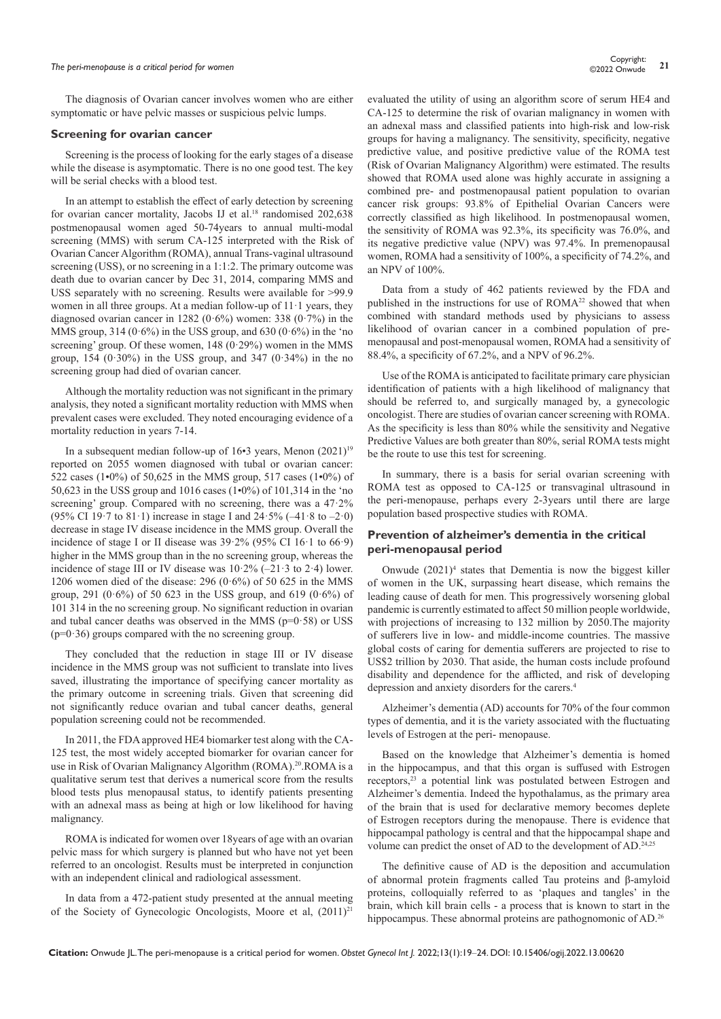# *The peri-menopause is a critical period for women* **<sup>21</sup>** Copyright:

The diagnosis of Ovarian cancer involves women who are either symptomatic or have pelvic masses or suspicious pelvic lumps.

#### **Screening for ovarian cancer**

Screening is the process of looking for the early stages of a disease while the disease is asymptomatic. There is no one good test. The key will be serial checks with a blood test.

In an attempt to establish the effect of early detection by screening for ovarian cancer mortality, Jacobs IJ et al.<sup>18</sup> randomised 202,638 postmenopausal women aged 50-74years to annual multi-modal screening (MMS) with serum CA-125 interpreted with the Risk of Ovarian Cancer Algorithm (ROMA), annual Trans-vaginal ultrasound screening (USS), or no screening in a 1:1:2. The primary outcome was death due to ovarian cancer by Dec 31, 2014, comparing MMS and USS separately with no screening. Results were available for >99.9 women in all three groups. At a median follow-up of  $11 \cdot 1$  years, they diagnosed ovarian cancer in 1282 (0·6%) women: 338 (0·7%) in the MMS group, 314 (0.6%) in the USS group, and 630 (0.6%) in the 'no screening' group. Of these women, 148 (0.29%) women in the MMS group, 154 (0.30%) in the USS group, and 347 (0.34%) in the no screening group had died of ovarian cancer.

Although the mortality reduction was not significant in the primary analysis, they noted a significant mortality reduction with MMS when prevalent cases were excluded. They noted encouraging evidence of a mortality reduction in years 7-14.

In a subsequent median follow-up of  $16\n•3$  years, Menon  $(2021)^{19}$ reported on 2055 women diagnosed with tubal or ovarian cancer: 522 cases (1•0%) of 50,625 in the MMS group, 517 cases (1•0%) of 50,623 in the USS group and 1016 cases (1•0%) of 101,314 in the 'no screening' group. Compared with no screening, there was a 47·2% (95% CI 19 $\cdot$ 7 to 81 $\cdot$ 1) increase in stage I and 24 $\cdot$ 5% (-41 $\cdot$ 8 to -2 $\cdot$ 0) decrease in stage IV disease incidence in the MMS group. Overall the incidence of stage I or II disease was 39·2% (95% CI 16·1 to 66·9) higher in the MMS group than in the no screening group, whereas the incidence of stage III or IV disease was  $10.2\%$  (–21.3 to 2.4) lower. 1206 women died of the disease: 296 (0 $\cdot$ 6%) of 50 625 in the MMS group, 291 (0.6%) of 50 623 in the USS group, and 619 (0.6%) of 101 314 in the no screening group. No significant reduction in ovarian and tubal cancer deaths was observed in the MMS ( $p=0.58$ ) or USS  $(p=0.36)$  groups compared with the no screening group.

They concluded that the reduction in stage III or IV disease incidence in the MMS group was not sufficient to translate into lives saved, illustrating the importance of specifying cancer mortality as the primary outcome in screening trials. Given that screening did not significantly reduce ovarian and tubal cancer deaths, general population screening could not be recommended.

In 2011, the FDA approved HE4 biomarker test along with the CA-125 test, the most widely accepted biomarker for ovarian cancer for use in Risk of Ovarian Malignancy Algorithm (ROMA).<sup>20</sup>.ROMA is a qualitative serum test that derives a numerical score from the results blood tests plus menopausal status, to identify patients presenting with an adnexal mass as being at high or low likelihood for having malignancy.

ROMA is indicated for women over 18years of age with an ovarian pelvic mass for which surgery is planned but who have not yet been referred to an oncologist. Results must be interpreted in conjunction with an independent clinical and radiological assessment.

In data from a 472-patient study presented at the annual meeting of the Society of Gynecologic Oncologists, Moore et al,  $(2011)^{21}$ 

evaluated the utility of using an algorithm score of serum HE4 and CA-125 to determine the risk of ovarian malignancy in women with an adnexal mass and classified patients into high-risk and low-risk groups for having a malignancy. The sensitivity, specificity, negative predictive value, and positive predictive value of the ROMA test (Risk of Ovarian Malignancy Algorithm) were estimated. The results showed that ROMA used alone was highly accurate in assigning a combined pre- and postmenopausal patient population to ovarian cancer risk groups: 93.8% of Epithelial Ovarian Cancers were correctly classified as high likelihood. In postmenopausal women, the sensitivity of ROMA was 92.3%, its specificity was 76.0%, and its negative predictive value (NPV) was 97.4%. In premenopausal women, ROMA had a sensitivity of 100%, a specificity of 74.2%, and an NPV of 100%.

Data from a study of 462 patients reviewed by the FDA and published in the instructions for use of ROMA<sup>22</sup> showed that when combined with standard methods used by physicians to assess likelihood of ovarian cancer in a combined population of premenopausal and post-menopausal women, ROMA had a sensitivity of 88.4%, a specificity of 67.2%, and a NPV of 96.2%.

Use of the ROMA is anticipated to facilitate primary care physician identification of patients with a high likelihood of malignancy that should be referred to, and surgically managed by, a gynecologic oncologist. There are studies of ovarian cancer screening with ROMA. As the specificity is less than 80% while the sensitivity and Negative Predictive Values are both greater than 80%, serial ROMA tests might be the route to use this test for screening.

In summary, there is a basis for serial ovarian screening with ROMA test as opposed to CA-125 or transvaginal ultrasound in the peri-menopause, perhaps every 2-3years until there are large population based prospective studies with ROMA.

## **Prevention of alzheimer's dementia in the critical peri-menopausal period**

Onwude (2021)<sup>4</sup> states that Dementia is now the biggest killer of women in the UK, surpassing heart disease, which remains the leading cause of death for men. This progressively worsening global pandemic is currently estimated to affect 50 million people worldwide, with projections of increasing to 132 million by 2050.The majority of sufferers live in low- and middle-income countries. The massive global costs of caring for dementia sufferers are projected to rise to US\$2 trillion by 2030. That aside, the human costs include profound disability and dependence for the afflicted, and risk of developing depression and anxiety disorders for the carers.4

Alzheimer's dementia (AD) accounts for 70% of the four common types of dementia, and it is the variety associated with the fluctuating levels of Estrogen at the peri- menopause.

Based on the knowledge that Alzheimer's dementia is homed in the hippocampus, and that this organ is suffused with Estrogen receptors,<sup>23</sup> a potential link was postulated between Estrogen and Alzheimer's dementia. Indeed the hypothalamus, as the primary area of the brain that is used for declarative memory becomes deplete of Estrogen receptors during the menopause. There is evidence that hippocampal pathology is central and that the hippocampal shape and volume can predict the onset of AD to the development of AD.24,25

The definitive cause of AD is the deposition and accumulation of abnormal protein fragments called Tau proteins and β-amyloid proteins, colloquially referred to as 'plaques and tangles' in the brain, which kill brain cells - a process that is known to start in the hippocampus. These abnormal proteins are pathognomonic of AD.<sup>26</sup>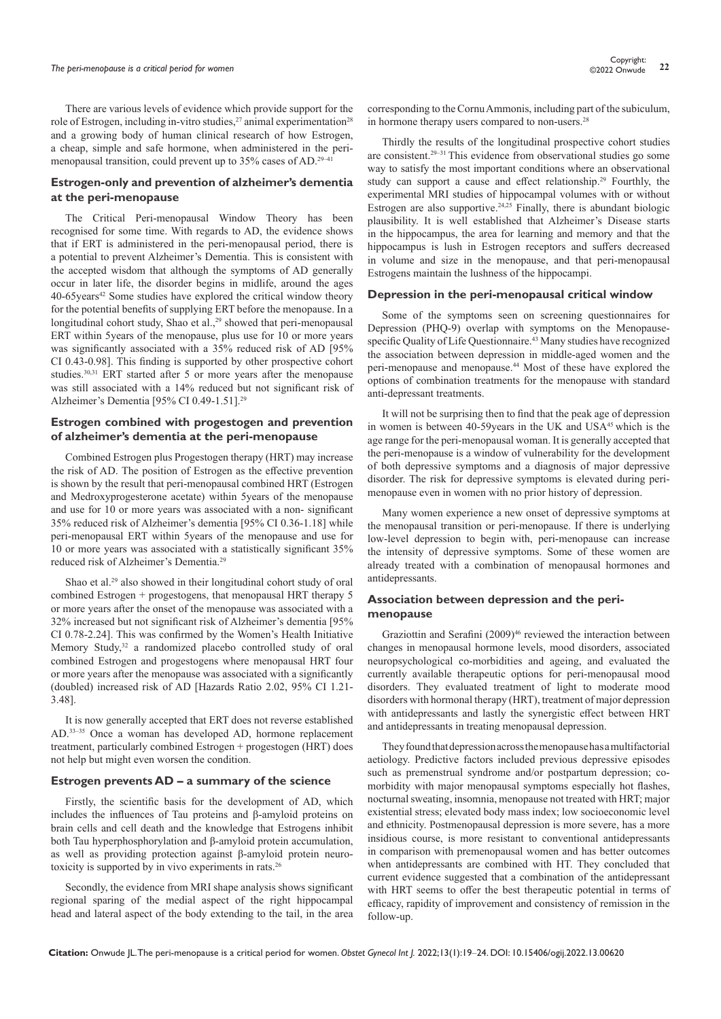There are various levels of evidence which provide support for the role of Estrogen, including in-vitro studies,  $27$  animal experimentation<sup>28</sup> and a growing body of human clinical research of how Estrogen, a cheap, simple and safe hormone, when administered in the perimenopausal transition, could prevent up to 35% cases of AD.29–41

#### **Estrogen-only and prevention of alzheimer's dementia at the peri-menopause**

The Critical Peri-menopausal Window Theory has been recognised for some time. With regards to AD, the evidence shows that if ERT is administered in the peri-menopausal period, there is a potential to prevent Alzheimer's Dementia. This is consistent with the accepted wisdom that although the symptoms of AD generally occur in later life, the disorder begins in midlife, around the ages 40-65 years<sup>42</sup> Some studies have explored the critical window theory for the potential benefits of supplying ERT before the menopause. In a longitudinal cohort study, Shao et al.,<sup>29</sup> showed that peri-menopausal ERT within 5years of the menopause, plus use for 10 or more years was significantly associated with a 35% reduced risk of AD [95% CI 0.43-0.98]. This finding is supported by other prospective cohort studies.30,31 ERT started after 5 or more years after the menopause was still associated with a 14% reduced but not significant risk of Alzheimer's Dementia [95% CI 0.49-1.51].<sup>29</sup>

#### **Estrogen combined with progestogen and prevention of alzheimer's dementia at the peri-menopause**

Combined Estrogen plus Progestogen therapy (HRT) may increase the risk of AD. The position of Estrogen as the effective prevention is shown by the result that peri-menopausal combined HRT (Estrogen and Medroxyprogesterone acetate) within 5years of the menopause and use for 10 or more years was associated with a non- significant 35% reduced risk of Alzheimer's dementia [95% CI 0.36-1.18] while peri-menopausal ERT within 5years of the menopause and use for 10 or more years was associated with a statistically significant 35% reduced risk of Alzheimer's Dementia.29

Shao et al.<sup>29</sup> also showed in their longitudinal cohort study of oral combined Estrogen + progestogens, that menopausal HRT therapy 5 or more years after the onset of the menopause was associated with a 32% increased but not significant risk of Alzheimer's dementia [95% CI 0.78-2.24]. This was confirmed by the Women's Health Initiative Memory Study,<sup>32</sup> a randomized placebo controlled study of oral combined Estrogen and progestogens where menopausal HRT four or more years after the menopause was associated with a significantly (doubled) increased risk of AD [Hazards Ratio 2.02, 95% CI 1.21- 3.48].

It is now generally accepted that ERT does not reverse established AD.33–35 Once a woman has developed AD, hormone replacement treatment, particularly combined Estrogen + progestogen (HRT) does not help but might even worsen the condition.

#### **Estrogen prevents AD – a summary of the science**

Firstly, the scientific basis for the development of AD, which includes the influences of Tau proteins and β-amyloid proteins on brain cells and cell death and the knowledge that Estrogens inhibit both Tau hyperphosphorylation and β-amyloid protein accumulation, as well as providing protection against β-amyloid protein neurotoxicity is supported by in vivo experiments in rats.<sup>26</sup>

Secondly, the evidence from MRI shape analysis shows significant regional sparing of the medial aspect of the right hippocampal head and lateral aspect of the body extending to the tail, in the area

corresponding to the Cornu Ammonis, including part of the subiculum, in hormone therapy users compared to non-users.<sup>28</sup>

Thirdly the results of the longitudinal prospective cohort studies are consistent.29–31 This evidence from observational studies go some way to satisfy the most important conditions where an observational study can support a cause and effect relationship.29 Fourthly, the experimental MRI studies of hippocampal volumes with or without Estrogen are also supportive.<sup>24,25</sup> Finally, there is abundant biologic plausibility. It is well established that Alzheimer's Disease starts in the hippocampus, the area for learning and memory and that the hippocampus is lush in Estrogen receptors and suffers decreased in volume and size in the menopause, and that peri-menopausal Estrogens maintain the lushness of the hippocampi.

#### **Depression in the peri-menopausal critical window**

Some of the symptoms seen on screening questionnaires for Depression (PHQ-9) overlap with symptoms on the Menopausespecific Quality of Life Questionnaire.43 Many studies have recognized the association between depression in middle-aged women and the peri-menopause and menopause.44 Most of these have explored the options of combination treatments for the menopause with standard anti-depressant treatments.

It will not be surprising then to find that the peak age of depression in women is between 40-59years in the UK and USA<sup>45</sup> which is the age range for the peri-menopausal woman. It is generally accepted that the peri-menopause is a window of vulnerability for the development of both depressive symptoms and a diagnosis of major depressive disorder. The risk for depressive symptoms is elevated during perimenopause even in women with no prior history of depression.

Many women experience a new onset of [depressive symptoms](https://medicalxpress.com/tags/depressive+symptoms/) at the menopausal transition or peri-menopause. If there is underlying low-level depression to begin with, peri-menopause can increase the intensity of depressive symptoms. Some of these women are already treated with a combination of menopausal hormones and antidepressants.

#### **Association between depression and the perimenopause**

Graziottin and Serafini (2009)<sup>46</sup> reviewed the interaction between changes in menopausal hormone levels, mood disorders, associated neuropsychological co-morbidities and ageing, and evaluated the currently available therapeutic options for peri-menopausal mood disorders. They evaluated treatment of light to moderate mood disorders with hormonal therapy (HRT), treatment of major depression with antidepressants and lastly the synergistic effect between HRT and antidepressants in treating menopausal depression.

They found that depression across the menopause has a multifactorial aetiology. Predictive factors included previous depressive episodes such as premenstrual syndrome and/or postpartum depression; comorbidity with major menopausal symptoms especially hot flashes, nocturnal sweating, insomnia, menopause not treated with HRT; major existential stress; elevated body mass index; low socioeconomic level and ethnicity. Postmenopausal depression is more severe, has a more insidious course, is more resistant to conventional antidepressants in comparison with premenopausal women and has better outcomes when antidepressants are combined with HT. They concluded that current evidence suggested that a combination of the antidepressant with HRT seems to offer the best therapeutic potential in terms of efficacy, rapidity of improvement and consistency of remission in the follow-up.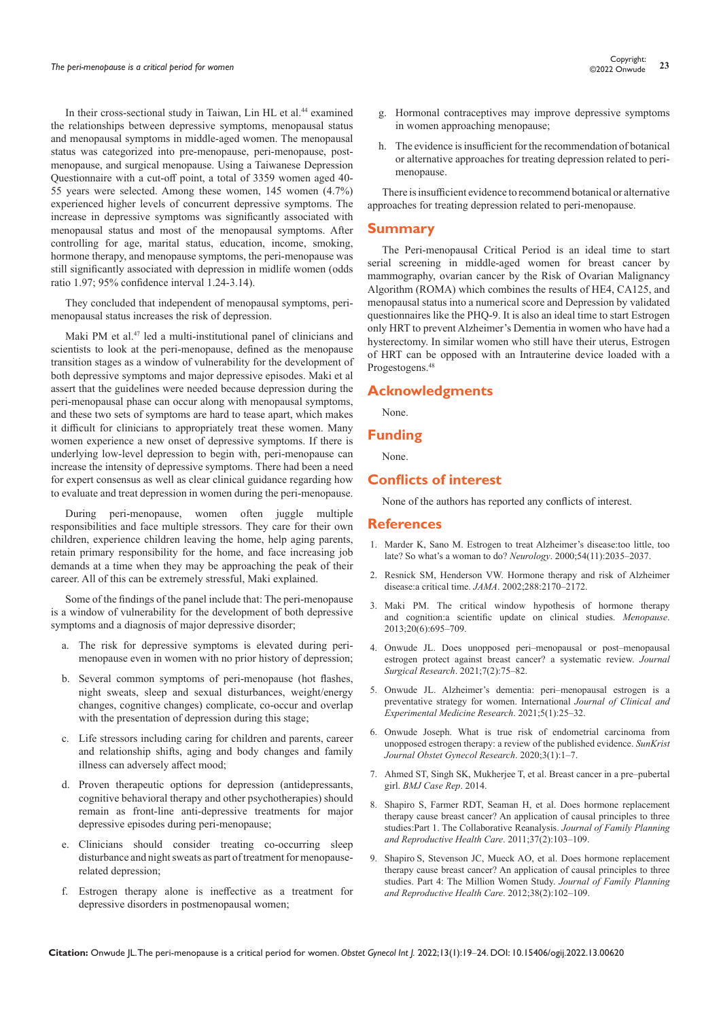In their cross-sectional study in Taiwan, Lin HL et al.<sup>44</sup> examined the relationships between depressive symptoms, menopausal status and menopausal symptoms in middle-aged women. The menopausal status was categorized into pre-menopause, peri-menopause, postmenopause, and surgical menopause. Using a Taiwanese Depression Questionnaire with a cut-off point, a total of 3359 women aged 40- 55 years were selected. Among these women, 145 women (4.7%) experienced higher levels of concurrent depressive symptoms. The increase in depressive symptoms was significantly associated with menopausal status and most of the menopausal symptoms. After controlling for age, marital status, education, income, smoking, hormone therapy, and menopause symptoms, the peri-menopause was still significantly associated with depression in midlife women (odds ratio 1.97; 95% confidence interval 1.24-3.14).

They concluded that independent of menopausal symptoms, perimenopausal status increases the risk of depression.

Maki PM et al.47 led a multi-institutional panel of clinicians and scientists to look at the peri-menopause, defined as the menopause transition stages as a window of vulnerability for the development of both depressive symptoms and major depressive episodes. Maki et al assert that the guidelines were needed because depression during the peri-menopausal phase can occur along with menopausal symptoms, and these two sets of symptoms are hard to tease apart, which makes it difficult for clinicians to appropriately treat these [women.](https://medicalxpress.com/tags/women/) Many women experience a new onset of [depressive symptoms.](https://medicalxpress.com/tags/depressive+symptoms/) If there is underlying low-level depression to begin with, peri-menopause can increase the intensity of depressive symptoms. There had been a need for expert consensus as well as clear clinical guidance regarding how to evaluate and treat depression in women during the peri-menopause.

During peri-menopause, women often juggle multiple responsibilities and face multiple stressors. They care for their own children, experience children leaving the home, help aging parents, retain primary responsibility for the home, and face increasing job demands at a time when they may be approaching the peak of their career. All of this can be extremely stressful, Maki explained.

Some of the findings of the panel include that: The peri-menopause is a window of vulnerability for the development of both depressive symptoms and a diagnosis of major depressive disorder;

- a. The risk for depressive symptoms is elevated during perimenopause even in women with no prior history of depression;
- b. Several common symptoms of peri-menopause (hot flashes, night sweats, sleep and sexual disturbances, weight/energy changes, cognitive changes) complicate, co-occur and overlap with the presentation of depression during this stage;
- c. Life stressors including caring for children and parents, career and relationship shifts, aging and body changes and family illness can adversely affect mood;
- d. Proven therapeutic options for depression (antidepressants, cognitive behavioral therapy and other psychotherapies) should remain as front-line anti-depressive treatments for major depressive episodes during peri-menopause;
- e. Clinicians should consider treating co-occurring sleep disturbance and night sweats as part of treatment for menopauserelated depression;
- f. Estrogen therapy alone is ineffective as a treatment for depressive disorders in postmenopausal women;
- g. Hormonal contraceptives may improve depressive symptoms in women approaching menopause;
- h. The evidence is insufficient for the recommendation of botanical or alternative approaches for treating depression related to perimenopause.

There is insufficient evidence to recommend botanical or alternative approaches for treating depression related to peri-menopause.

## **Summary**

The Peri-menopausal Critical Period is an ideal time to start serial screening in middle-aged women for breast cancer by mammography, ovarian cancer by the Risk of Ovarian Malignancy Algorithm (ROMA) which combines the results of HE4, CA125, and menopausal status into a numerical score and Depression by validated questionnaires like the PHQ-9. It is also an ideal time to start Estrogen only HRT to prevent Alzheimer's Dementia in women who have had a hysterectomy. In similar women who still have their uterus, Estrogen of HRT can be opposed with an Intrauterine device loaded with a Progestogens.48

# **Acknowledgments**

None.

#### **Funding**

None.

# **Conflicts of interest**

None of the authors has reported any conflicts of interest.

#### **References**

- 1. [Marder K, Sano M. Estrogen to treat Alzheimer's disease:too little, too](https://pubmed.ncbi.nlm.nih.gov/10851358/)  [late? So what's a woman to do?](https://pubmed.ncbi.nlm.nih.gov/10851358/) *Neurology*. 2000;54(11):2035–2037.
- 2. [Resnick SM, Henderson VW. Hormone therapy and risk of Alzheimer](https://pubmed.ncbi.nlm.nih.gov/12413378/)  disease:a critical time. *JAMA*[. 2002;288:2170–2172.](https://pubmed.ncbi.nlm.nih.gov/12413378/)
- 3. [Maki PM. The critical window hypothesis of hormone therapy](https://pubmed.ncbi.nlm.nih.gov/23715379/)  [and cognition:a scientific update on clinical studies.](https://pubmed.ncbi.nlm.nih.gov/23715379/) *Menopause*. [2013;20\(6\):695–709.](https://pubmed.ncbi.nlm.nih.gov/23715379/)
- 4. [Onwude JL. Does unopposed peri–menopausal or post–menopausal](https://www.peertechzpublications.com/articles/JSSR-7-242.php)  [estrogen protect against breast cancer? a systematic review.](https://www.peertechzpublications.com/articles/JSSR-7-242.php) *Journal Surgical Research*[. 2021;7\(2\):75–82.](https://www.peertechzpublications.com/articles/JSSR-7-242.php)
- 5. [Onwude JL. Alzheimer's dementia: peri–menopausal estrogen is a](http://wap.hillpublisher.com/ArticleDetails.aspx?cid=467)  [preventative strategy for women. International](http://wap.hillpublisher.com/ArticleDetails.aspx?cid=467) *Journal of Clinical and [Experimental Medicine Research](http://wap.hillpublisher.com/ArticleDetails.aspx?cid=467)*. 2021;5(1):25–32.
- 6. Onwude Joseph. What is true risk of endometrial carcinoma from unopposed estrogen therapy: a review of the published evidence. *SunKrist Journal Obstet Gynecol Research*. 2020;3(1):1–7.
- 7. [Ahmed ST, Singh SK, Mukherjee T, et al. Breast cancer in a pre–pubertal](https://pubmed.ncbi.nlm.nih.gov/24810441/)  girl. *[BMJ Case Rep](https://pubmed.ncbi.nlm.nih.gov/24810441/)*. 2014.
- 8. [Shapiro S, Farmer RDT, Seaman H, et al. Does hormone replacement](https://pubmed.ncbi.nlm.nih.gov/21454266/)  [therapy cause breast cancer? An application of causal principles to three](https://pubmed.ncbi.nlm.nih.gov/21454266/)  [studies:Part 1. The Collaborative Reanalysis.](https://pubmed.ncbi.nlm.nih.gov/21454266/) *Journal of Family Planning [and Reproductive Health Care](https://pubmed.ncbi.nlm.nih.gov/21454266/)*. 2011;37(2):103–109.
- 9. Shapiro [S, Stevenson JC, Mueck AO, et al. Does hormone replacement](https://pubmed.ncbi.nlm.nih.gov/22262621/)  [therapy cause breast cancer? An application of causal principles to three](https://pubmed.ncbi.nlm.nih.gov/22262621/)  [studies. Part 4: The Million Women Study.](https://pubmed.ncbi.nlm.nih.gov/22262621/) *Journal of Family Planning [and Reproductive Health Care](https://pubmed.ncbi.nlm.nih.gov/22262621/)*. 2012;38(2):102–109.